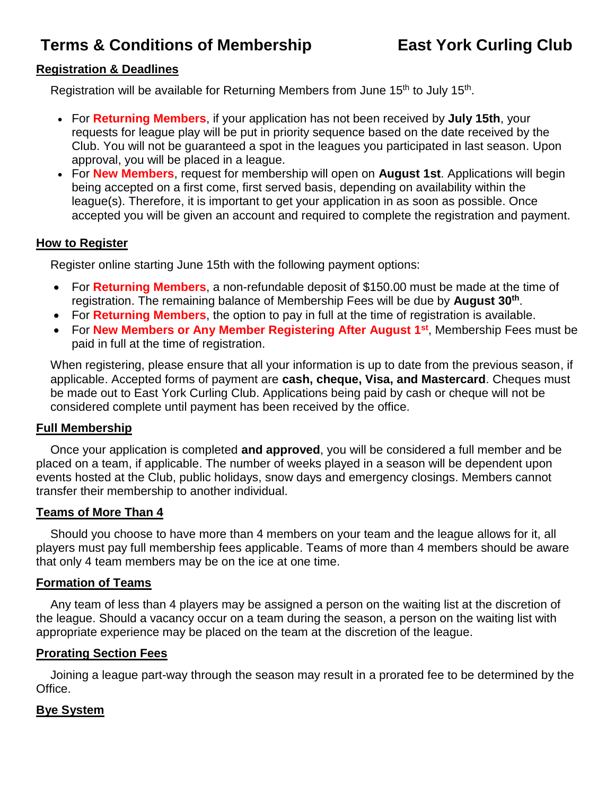# **Terms & Conditions of Membership East York Curling Club**

# **Registration & Deadlines**

Registration will be available for Returning Members from June 15<sup>th</sup> to July 15<sup>th</sup>.

- For **Returning Members**, if your application has not been received by **July 15th**, your requests for league play will be put in priority sequence based on the date received by the Club. You will not be guaranteed a spot in the leagues you participated in last season. Upon approval, you will be placed in a league.
- For **New Members**, request for membership will open on **August 1st**. Applications will begin being accepted on a first come, first served basis, depending on availability within the league(s). Therefore, it is important to get your application in as soon as possible. Once accepted you will be given an account and required to complete the registration and payment.

#### **How to Register**

Register online starting June 15th with the following payment options:

- For **Returning Members**, a non-refundable deposit of \$150.00 must be made at the time of registration. The remaining balance of Membership Fees will be due by **August 30th** .
- For **Returning Members**, the option to pay in full at the time of registration is available.
- For **New Members or Any Member Registering After August 1st** , Membership Fees must be paid in full at the time of registration.

When registering, please ensure that all your information is up to date from the previous season, if applicable. Accepted forms of payment are **cash, cheque, Visa, and Mastercard**. Cheques must be made out to East York Curling Club. Applications being paid by cash or cheque will not be considered complete until payment has been received by the office.

#### **Full Membership**

Once your application is completed **and approved**, you will be considered a full member and be placed on a team, if applicable. The number of weeks played in a season will be dependent upon events hosted at the Club, public holidays, snow days and emergency closings. Members cannot transfer their membership to another individual.

# **Teams of More Than 4**

Should you choose to have more than 4 members on your team and the league allows for it, all players must pay full membership fees applicable. Teams of more than 4 members should be aware that only 4 team members may be on the ice at one time.

#### **Formation of Teams**

Any team of less than 4 players may be assigned a person on the waiting list at the discretion of the league. Should a vacancy occur on a team during the season, a person on the waiting list with appropriate experience may be placed on the team at the discretion of the league.

# **Prorating Section Fees**

Joining a league part-way through the season may result in a prorated fee to be determined by the Office.

#### **Bye System**